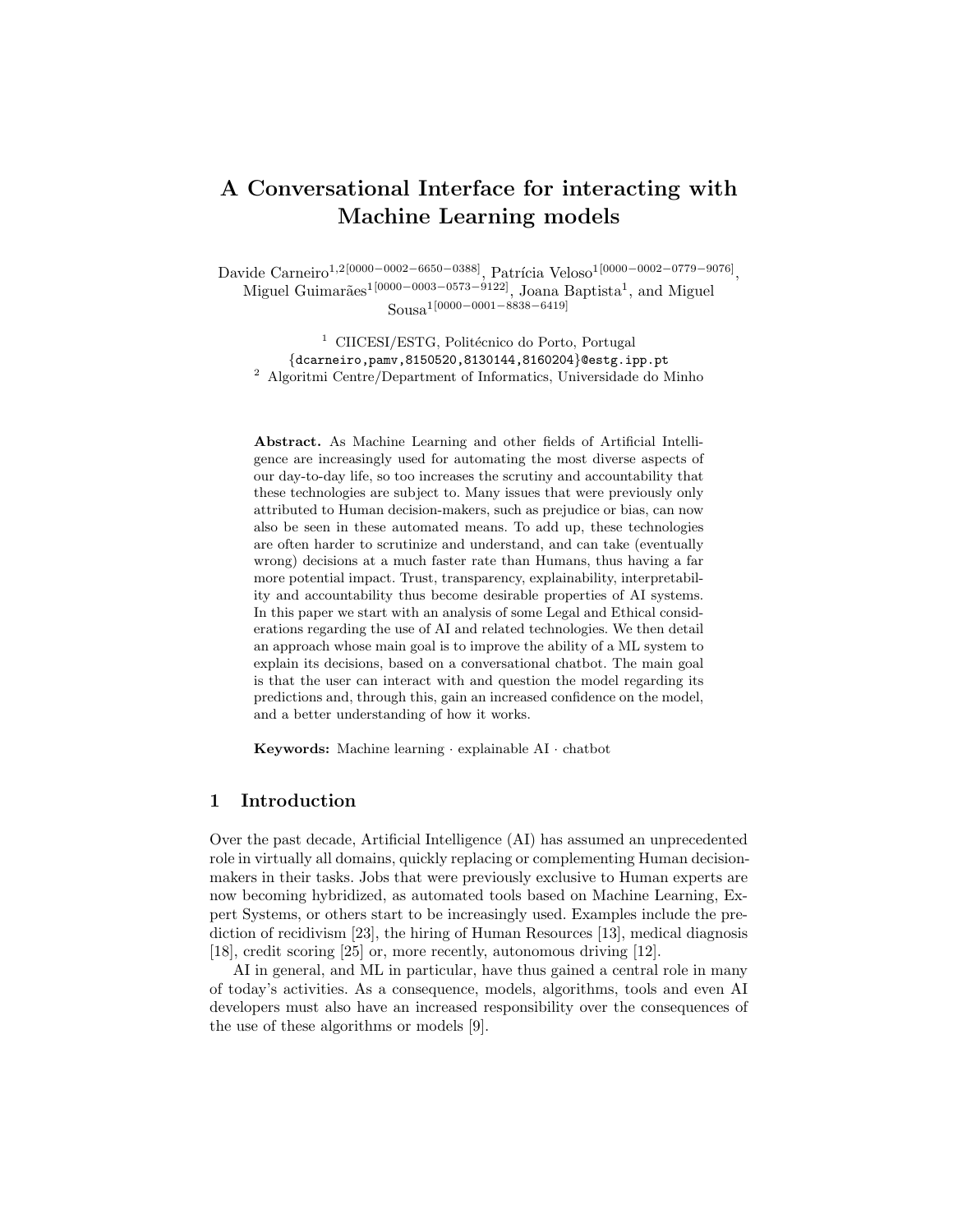# A Conversational Interface for interacting with Machine Learning models

Davide Carneiro<sup>1,2[0000–0002–6650–0388]</sup>, Patrícia Veloso<sup>1</sup><sup>[0000–0002–0779–9076]</sup>, Miguel Guimarães<sup>1[0000–0003–0573–9122]</sup>, Joana Baptista<sup>1</sup>, and Miguel Sousa1[0000−0001−8838−6419]

<sup>1</sup> CIICESI/ESTG, Politécnico do Porto, Portugal {dcarneiro,pamv,8150520,8130144,8160204}@estg.ipp.pt <sup>2</sup> Algoritmi Centre/Department of Informatics, Universidade do Minho

Abstract. As Machine Learning and other fields of Artificial Intelligence are increasingly used for automating the most diverse aspects of our day-to-day life, so too increases the scrutiny and accountability that these technologies are subject to. Many issues that were previously only attributed to Human decision-makers, such as prejudice or bias, can now also be seen in these automated means. To add up, these technologies are often harder to scrutinize and understand, and can take (eventually wrong) decisions at a much faster rate than Humans, thus having a far more potential impact. Trust, transparency, explainability, interpretability and accountability thus become desirable properties of AI systems. In this paper we start with an analysis of some Legal and Ethical considerations regarding the use of AI and related technologies. We then detail an approach whose main goal is to improve the ability of a ML system to explain its decisions, based on a conversational chatbot. The main goal is that the user can interact with and question the model regarding its predictions and, through this, gain an increased confidence on the model, and a better understanding of how it works.

Keywords: Machine learning · explainable AI · chatbot

## 1 Introduction

Over the past decade, Artificial Intelligence (AI) has assumed an unprecedented role in virtually all domains, quickly replacing or complementing Human decisionmakers in their tasks. Jobs that were previously exclusive to Human experts are now becoming hybridized, as automated tools based on Machine Learning, Expert Systems, or others start to be increasingly used. Examples include the prediction of recidivism [23], the hiring of Human Resources [13], medical diagnosis [18], credit scoring [25] or, more recently, autonomous driving [12].

AI in general, and ML in particular, have thus gained a central role in many of today's activities. As a consequence, models, algorithms, tools and even AI developers must also have an increased responsibility over the consequences of the use of these algorithms or models [9].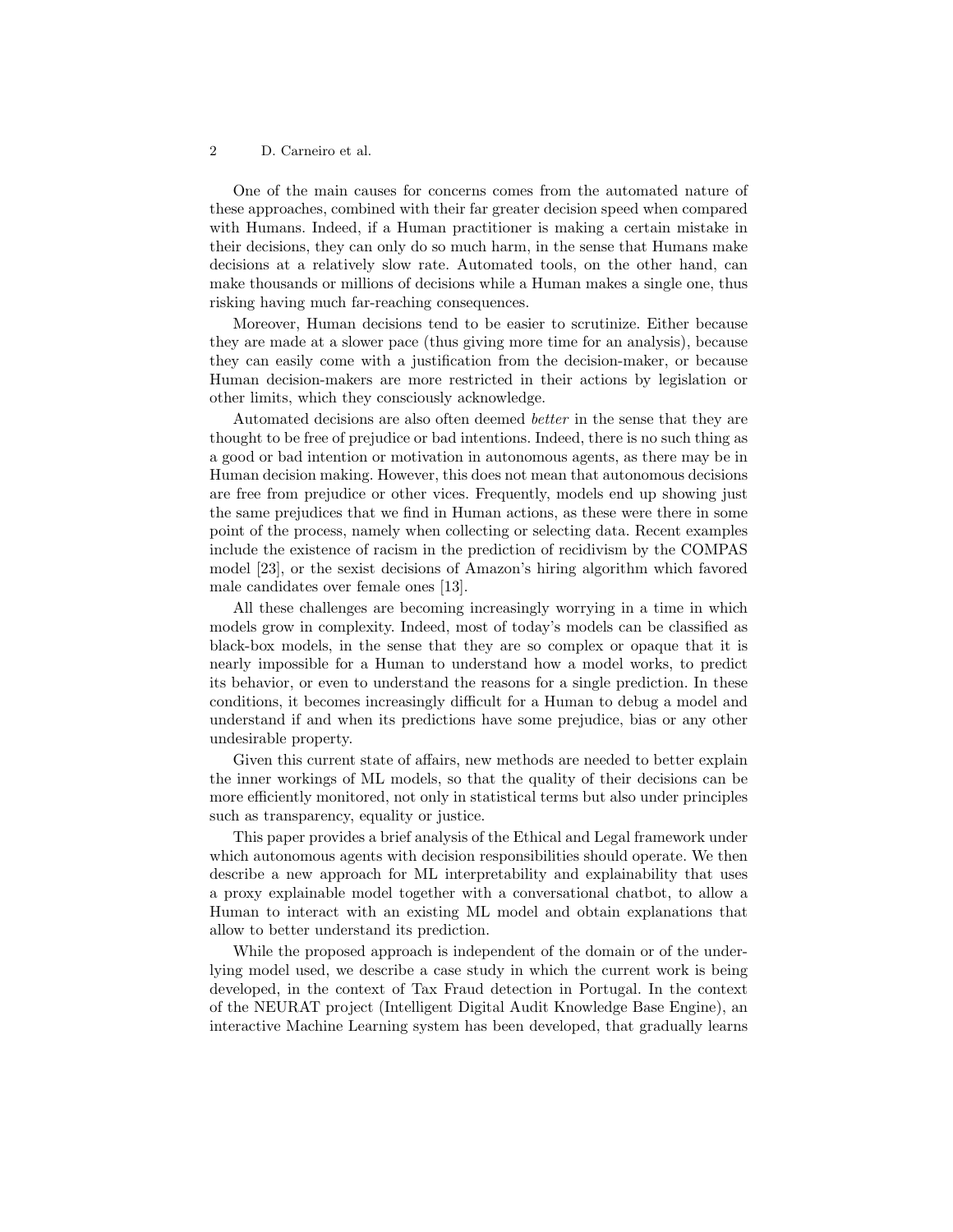One of the main causes for concerns comes from the automated nature of these approaches, combined with their far greater decision speed when compared with Humans. Indeed, if a Human practitioner is making a certain mistake in their decisions, they can only do so much harm, in the sense that Humans make decisions at a relatively slow rate. Automated tools, on the other hand, can make thousands or millions of decisions while a Human makes a single one, thus risking having much far-reaching consequences.

Moreover, Human decisions tend to be easier to scrutinize. Either because they are made at a slower pace (thus giving more time for an analysis), because they can easily come with a justification from the decision-maker, or because Human decision-makers are more restricted in their actions by legislation or other limits, which they consciously acknowledge.

Automated decisions are also often deemed better in the sense that they are thought to be free of prejudice or bad intentions. Indeed, there is no such thing as a good or bad intention or motivation in autonomous agents, as there may be in Human decision making. However, this does not mean that autonomous decisions are free from prejudice or other vices. Frequently, models end up showing just the same prejudices that we find in Human actions, as these were there in some point of the process, namely when collecting or selecting data. Recent examples include the existence of racism in the prediction of recidivism by the COMPAS model [23], or the sexist decisions of Amazon's hiring algorithm which favored male candidates over female ones [13].

All these challenges are becoming increasingly worrying in a time in which models grow in complexity. Indeed, most of today's models can be classified as black-box models, in the sense that they are so complex or opaque that it is nearly impossible for a Human to understand how a model works, to predict its behavior, or even to understand the reasons for a single prediction. In these conditions, it becomes increasingly difficult for a Human to debug a model and understand if and when its predictions have some prejudice, bias or any other undesirable property.

Given this current state of affairs, new methods are needed to better explain the inner workings of ML models, so that the quality of their decisions can be more efficiently monitored, not only in statistical terms but also under principles such as transparency, equality or justice.

This paper provides a brief analysis of the Ethical and Legal framework under which autonomous agents with decision responsibilities should operate. We then describe a new approach for ML interpretability and explainability that uses a proxy explainable model together with a conversational chatbot, to allow a Human to interact with an existing ML model and obtain explanations that allow to better understand its prediction.

While the proposed approach is independent of the domain or of the underlying model used, we describe a case study in which the current work is being developed, in the context of Tax Fraud detection in Portugal. In the context of the NEURAT project (Intelligent Digital Audit Knowledge Base Engine), an interactive Machine Learning system has been developed, that gradually learns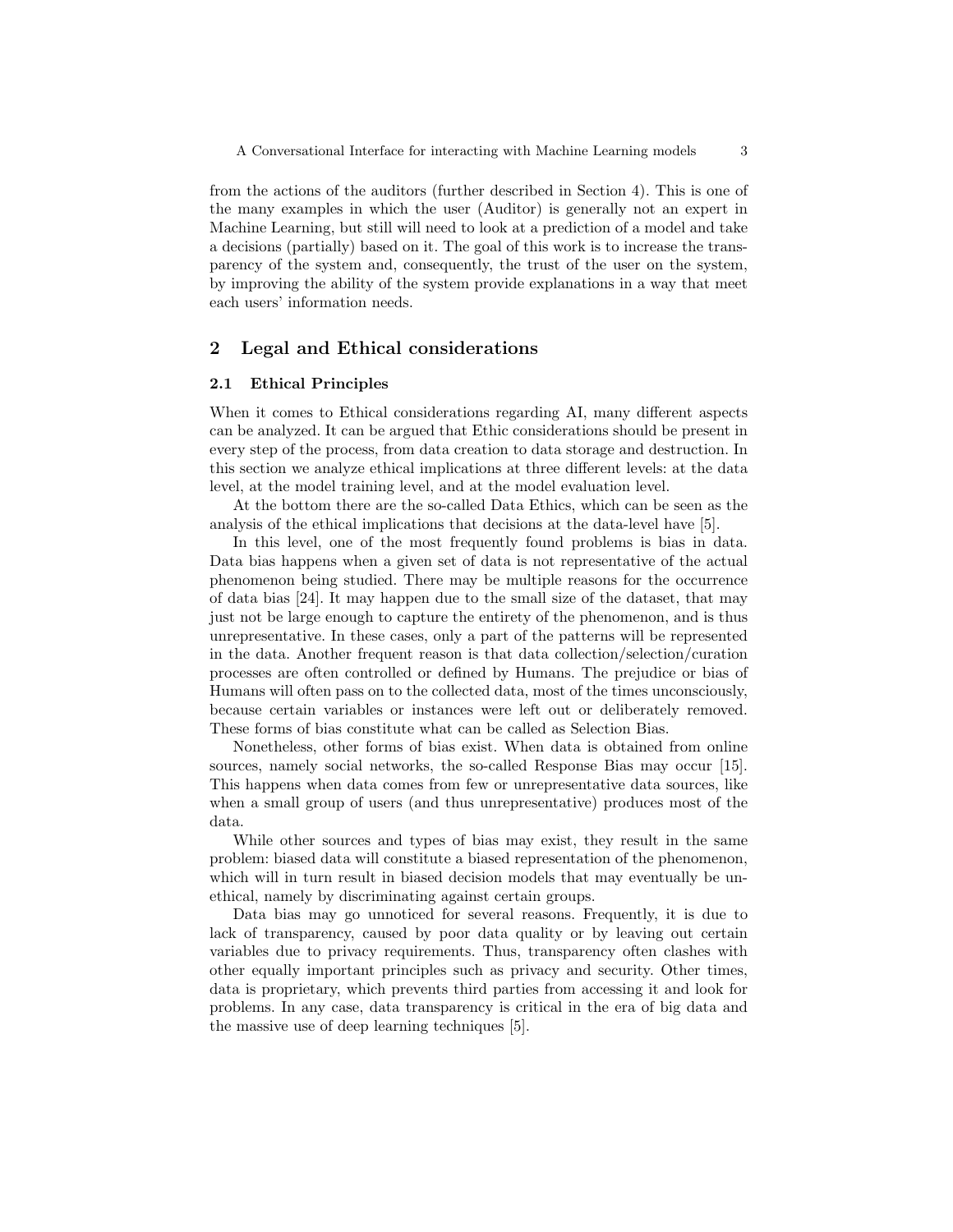from the actions of the auditors (further described in Section 4). This is one of the many examples in which the user (Auditor) is generally not an expert in Machine Learning, but still will need to look at a prediction of a model and take a decisions (partially) based on it. The goal of this work is to increase the transparency of the system and, consequently, the trust of the user on the system, by improving the ability of the system provide explanations in a way that meet each users' information needs.

# 2 Legal and Ethical considerations

## 2.1 Ethical Principles

When it comes to Ethical considerations regarding AI, many different aspects can be analyzed. It can be argued that Ethic considerations should be present in every step of the process, from data creation to data storage and destruction. In this section we analyze ethical implications at three different levels: at the data level, at the model training level, and at the model evaluation level.

At the bottom there are the so-called Data Ethics, which can be seen as the analysis of the ethical implications that decisions at the data-level have [5].

In this level, one of the most frequently found problems is bias in data. Data bias happens when a given set of data is not representative of the actual phenomenon being studied. There may be multiple reasons for the occurrence of data bias [24]. It may happen due to the small size of the dataset, that may just not be large enough to capture the entirety of the phenomenon, and is thus unrepresentative. In these cases, only a part of the patterns will be represented in the data. Another frequent reason is that data collection/selection/curation processes are often controlled or defined by Humans. The prejudice or bias of Humans will often pass on to the collected data, most of the times unconsciously, because certain variables or instances were left out or deliberately removed. These forms of bias constitute what can be called as Selection Bias.

Nonetheless, other forms of bias exist. When data is obtained from online sources, namely social networks, the so-called Response Bias may occur [15]. This happens when data comes from few or unrepresentative data sources, like when a small group of users (and thus unrepresentative) produces most of the data.

While other sources and types of bias may exist, they result in the same problem: biased data will constitute a biased representation of the phenomenon, which will in turn result in biased decision models that may eventually be unethical, namely by discriminating against certain groups.

Data bias may go unnoticed for several reasons. Frequently, it is due to lack of transparency, caused by poor data quality or by leaving out certain variables due to privacy requirements. Thus, transparency often clashes with other equally important principles such as privacy and security. Other times, data is proprietary, which prevents third parties from accessing it and look for problems. In any case, data transparency is critical in the era of big data and the massive use of deep learning techniques [5].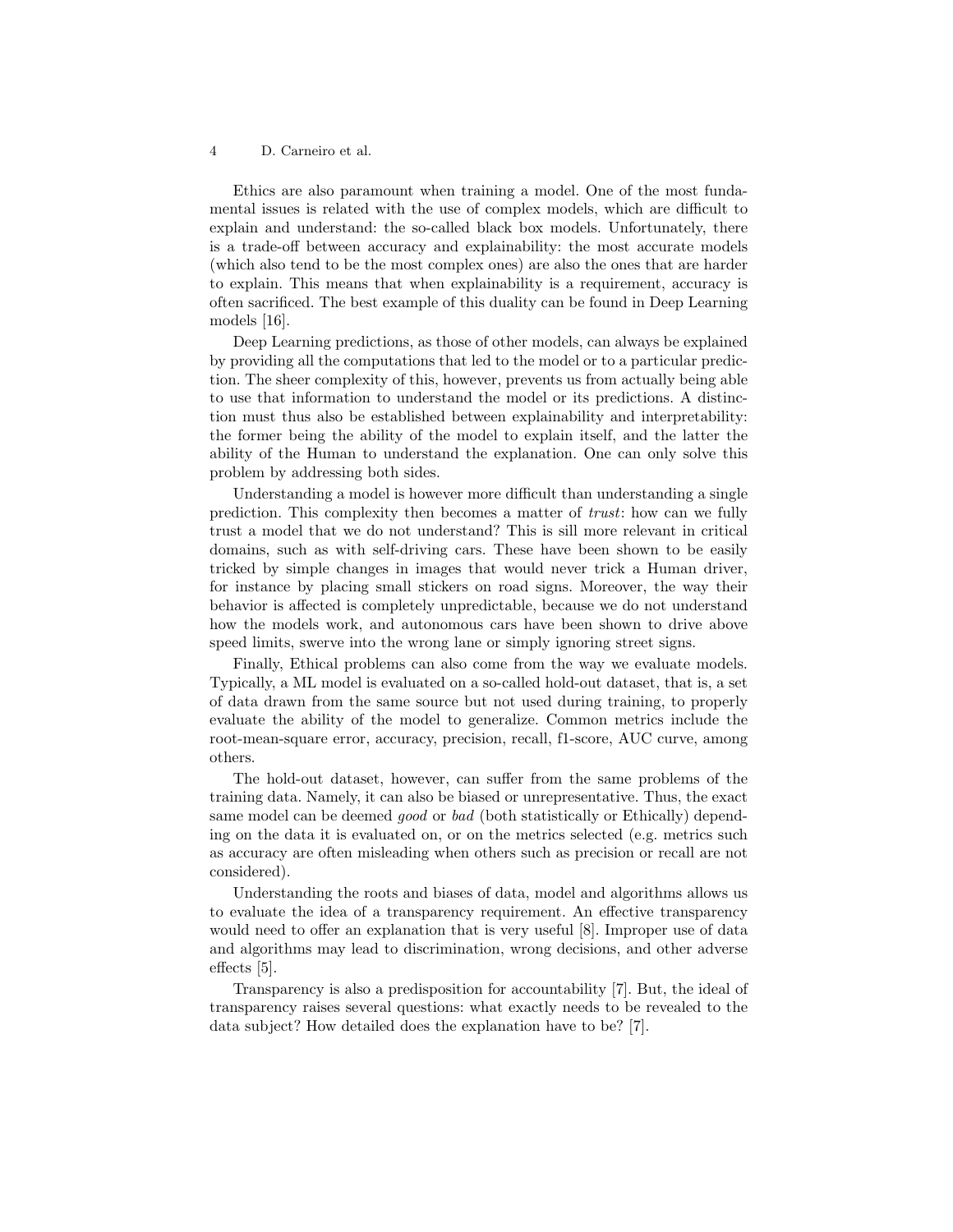Ethics are also paramount when training a model. One of the most fundamental issues is related with the use of complex models, which are difficult to explain and understand: the so-called black box models. Unfortunately, there is a trade-off between accuracy and explainability: the most accurate models (which also tend to be the most complex ones) are also the ones that are harder to explain. This means that when explainability is a requirement, accuracy is often sacrificed. The best example of this duality can be found in Deep Learning models [16].

Deep Learning predictions, as those of other models, can always be explained by providing all the computations that led to the model or to a particular prediction. The sheer complexity of this, however, prevents us from actually being able to use that information to understand the model or its predictions. A distinction must thus also be established between explainability and interpretability: the former being the ability of the model to explain itself, and the latter the ability of the Human to understand the explanation. One can only solve this problem by addressing both sides.

Understanding a model is however more difficult than understanding a single prediction. This complexity then becomes a matter of trust: how can we fully trust a model that we do not understand? This is sill more relevant in critical domains, such as with self-driving cars. These have been shown to be easily tricked by simple changes in images that would never trick a Human driver, for instance by placing small stickers on road signs. Moreover, the way their behavior is affected is completely unpredictable, because we do not understand how the models work, and autonomous cars have been shown to drive above speed limits, swerve into the wrong lane or simply ignoring street signs.

Finally, Ethical problems can also come from the way we evaluate models. Typically, a ML model is evaluated on a so-called hold-out dataset, that is, a set of data drawn from the same source but not used during training, to properly evaluate the ability of the model to generalize. Common metrics include the root-mean-square error, accuracy, precision, recall, f1-score, AUC curve, among others.

The hold-out dataset, however, can suffer from the same problems of the training data. Namely, it can also be biased or unrepresentative. Thus, the exact same model can be deemed good or bad (both statistically or Ethically) depending on the data it is evaluated on, or on the metrics selected (e.g. metrics such as accuracy are often misleading when others such as precision or recall are not considered).

Understanding the roots and biases of data, model and algorithms allows us to evaluate the idea of a transparency requirement. An effective transparency would need to offer an explanation that is very useful [8]. Improper use of data and algorithms may lead to discrimination, wrong decisions, and other adverse effects [5].

Transparency is also a predisposition for accountability [7]. But, the ideal of transparency raises several questions: what exactly needs to be revealed to the data subject? How detailed does the explanation have to be? [7].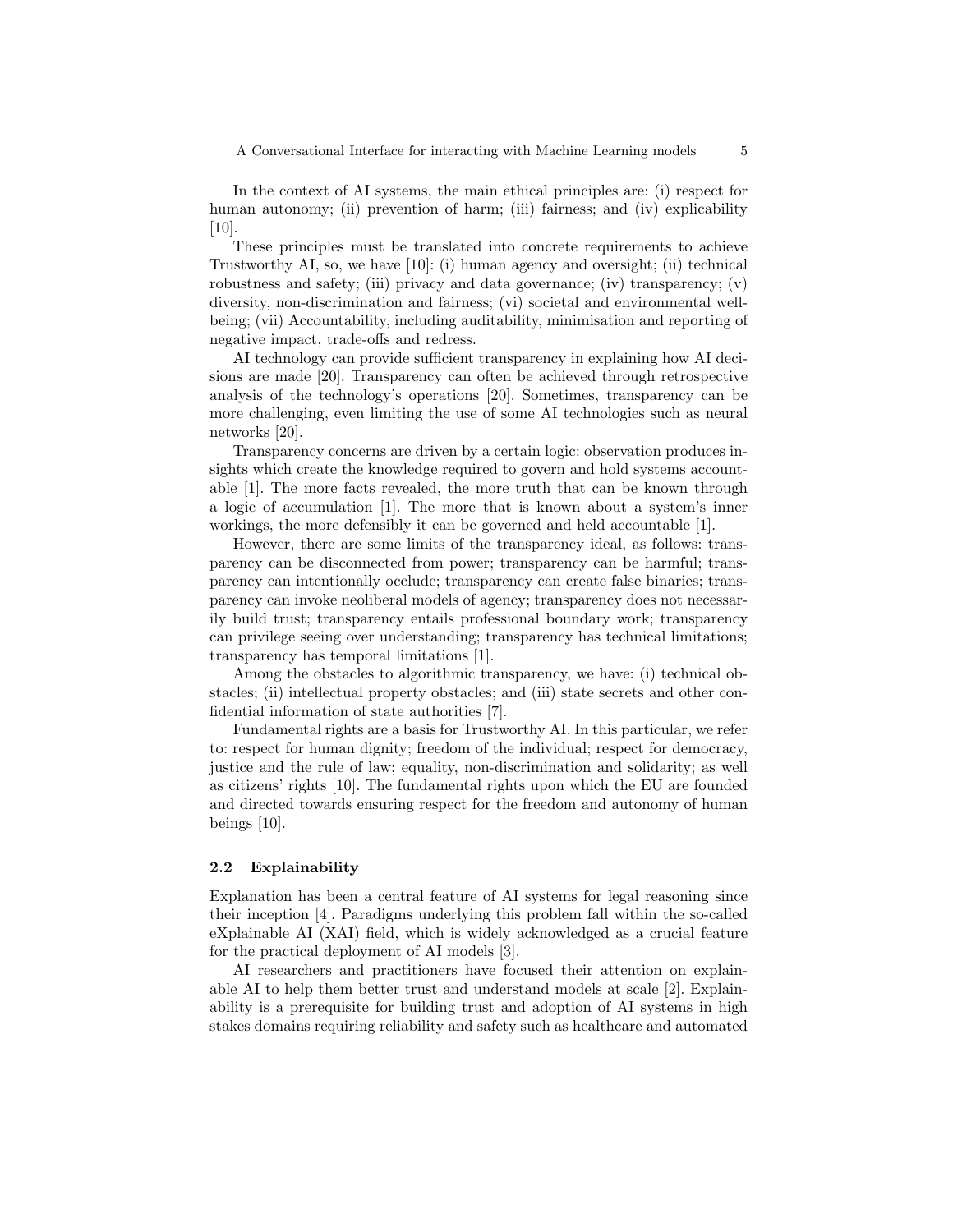A Conversational Interface for interacting with Machine Learning models  $5$ 

In the context of AI systems, the main ethical principles are: (i) respect for human autonomy; (ii) prevention of harm; (iii) fairness; and (iv) explicability  $|10|$ .

These principles must be translated into concrete requirements to achieve Trustworthy AI, so, we have [10]: (i) human agency and oversight; (ii) technical robustness and safety; (iii) privacy and data governance; (iv) transparency; (v) diversity, non-discrimination and fairness; (vi) societal and environmental wellbeing; (vii) Accountability, including auditability, minimisation and reporting of negative impact, trade-offs and redress.

AI technology can provide sufficient transparency in explaining how AI decisions are made [20]. Transparency can often be achieved through retrospective analysis of the technology's operations [20]. Sometimes, transparency can be more challenging, even limiting the use of some AI technologies such as neural networks [20].

Transparency concerns are driven by a certain logic: observation produces insights which create the knowledge required to govern and hold systems accountable [1]. The more facts revealed, the more truth that can be known through a logic of accumulation [1]. The more that is known about a system's inner workings, the more defensibly it can be governed and held accountable [1].

However, there are some limits of the transparency ideal, as follows: transparency can be disconnected from power; transparency can be harmful; transparency can intentionally occlude; transparency can create false binaries; transparency can invoke neoliberal models of agency; transparency does not necessarily build trust; transparency entails professional boundary work; transparency can privilege seeing over understanding; transparency has technical limitations; transparency has temporal limitations [1].

Among the obstacles to algorithmic transparency, we have: (i) technical obstacles; (ii) intellectual property obstacles; and (iii) state secrets and other confidential information of state authorities [7].

Fundamental rights are a basis for Trustworthy AI. In this particular, we refer to: respect for human dignity; freedom of the individual; respect for democracy, justice and the rule of law; equality, non-discrimination and solidarity; as well as citizens' rights [10]. The fundamental rights upon which the EU are founded and directed towards ensuring respect for the freedom and autonomy of human beings [10].

## 2.2 Explainability

Explanation has been a central feature of AI systems for legal reasoning since their inception [4]. Paradigms underlying this problem fall within the so-called eXplainable AI (XAI) field, which is widely acknowledged as a crucial feature for the practical deployment of AI models [3].

AI researchers and practitioners have focused their attention on explainable AI to help them better trust and understand models at scale [2]. Explainability is a prerequisite for building trust and adoption of AI systems in high stakes domains requiring reliability and safety such as healthcare and automated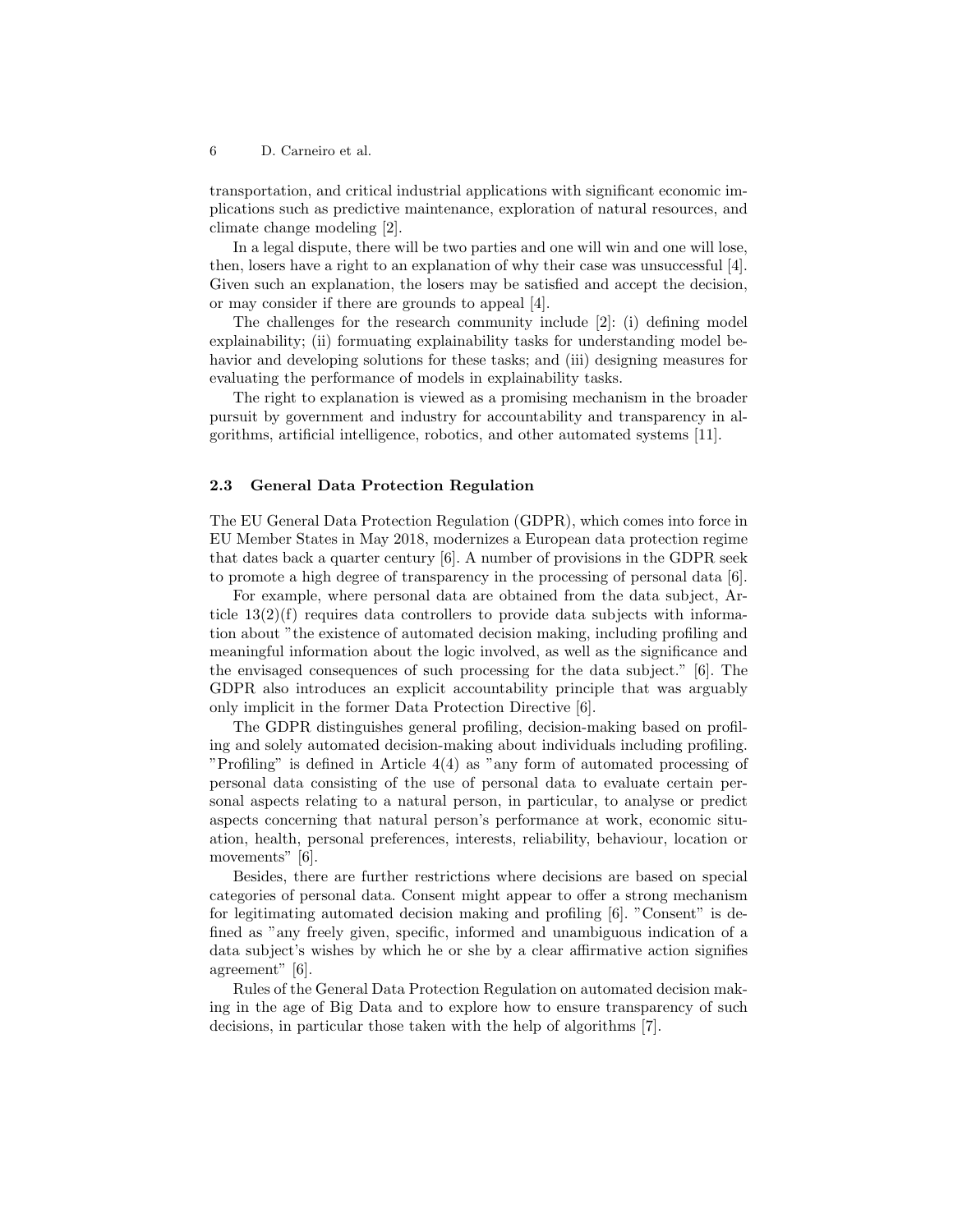transportation, and critical industrial applications with significant economic implications such as predictive maintenance, exploration of natural resources, and climate change modeling [2].

In a legal dispute, there will be two parties and one will win and one will lose, then, losers have a right to an explanation of why their case was unsuccessful [4]. Given such an explanation, the losers may be satisfied and accept the decision, or may consider if there are grounds to appeal [4].

The challenges for the research community include [2]: (i) defining model explainability; (ii) formuating explainability tasks for understanding model behavior and developing solutions for these tasks; and (iii) designing measures for evaluating the performance of models in explainability tasks.

The right to explanation is viewed as a promising mechanism in the broader pursuit by government and industry for accountability and transparency in algorithms, artificial intelligence, robotics, and other automated systems [11].

## 2.3 General Data Protection Regulation

The EU General Data Protection Regulation (GDPR), which comes into force in EU Member States in May 2018, modernizes a European data protection regime that dates back a quarter century [6]. A number of provisions in the GDPR seek to promote a high degree of transparency in the processing of personal data [6].

For example, where personal data are obtained from the data subject, Article  $13(2)(f)$  requires data controllers to provide data subjects with information about "the existence of automated decision making, including profiling and meaningful information about the logic involved, as well as the significance and the envisaged consequences of such processing for the data subject." [6]. The GDPR also introduces an explicit accountability principle that was arguably only implicit in the former Data Protection Directive [6].

The GDPR distinguishes general profiling, decision-making based on profiling and solely automated decision-making about individuals including profiling. "Profiling" is defined in Article 4(4) as "any form of automated processing of personal data consisting of the use of personal data to evaluate certain personal aspects relating to a natural person, in particular, to analyse or predict aspects concerning that natural person's performance at work, economic situation, health, personal preferences, interests, reliability, behaviour, location or movements" [6].

Besides, there are further restrictions where decisions are based on special categories of personal data. Consent might appear to offer a strong mechanism for legitimating automated decision making and profiling [6]. "Consent" is defined as "any freely given, specific, informed and unambiguous indication of a data subject's wishes by which he or she by a clear affirmative action signifies agreement" [6].

Rules of the General Data Protection Regulation on automated decision making in the age of Big Data and to explore how to ensure transparency of such decisions, in particular those taken with the help of algorithms [7].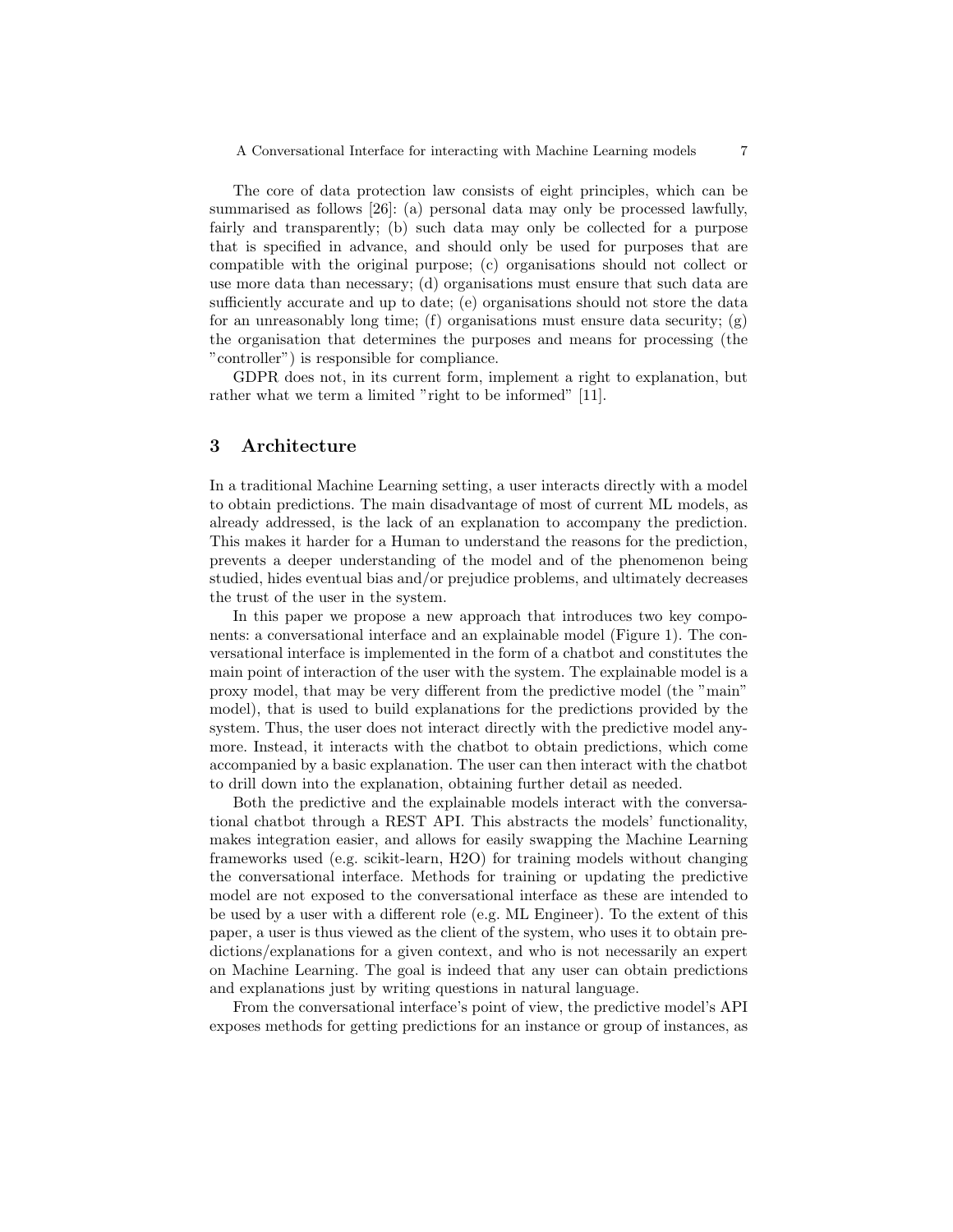The core of data protection law consists of eight principles, which can be summarised as follows [26]: (a) personal data may only be processed lawfully, fairly and transparently; (b) such data may only be collected for a purpose that is specified in advance, and should only be used for purposes that are compatible with the original purpose; (c) organisations should not collect or use more data than necessary; (d) organisations must ensure that such data are sufficiently accurate and up to date; (e) organisations should not store the data for an unreasonably long time; (f) organisations must ensure data security; (g) the organisation that determines the purposes and means for processing (the "controller") is responsible for compliance.

GDPR does not, in its current form, implement a right to explanation, but rather what we term a limited "right to be informed" [11].

# 3 Architecture

In a traditional Machine Learning setting, a user interacts directly with a model to obtain predictions. The main disadvantage of most of current ML models, as already addressed, is the lack of an explanation to accompany the prediction. This makes it harder for a Human to understand the reasons for the prediction, prevents a deeper understanding of the model and of the phenomenon being studied, hides eventual bias and/or prejudice problems, and ultimately decreases the trust of the user in the system.

In this paper we propose a new approach that introduces two key components: a conversational interface and an explainable model (Figure 1). The conversational interface is implemented in the form of a chatbot and constitutes the main point of interaction of the user with the system. The explainable model is a proxy model, that may be very different from the predictive model (the "main" model), that is used to build explanations for the predictions provided by the system. Thus, the user does not interact directly with the predictive model anymore. Instead, it interacts with the chatbot to obtain predictions, which come accompanied by a basic explanation. The user can then interact with the chatbot to drill down into the explanation, obtaining further detail as needed.

Both the predictive and the explainable models interact with the conversational chatbot through a REST API. This abstracts the models' functionality, makes integration easier, and allows for easily swapping the Machine Learning frameworks used (e.g. scikit-learn, H2O) for training models without changing the conversational interface. Methods for training or updating the predictive model are not exposed to the conversational interface as these are intended to be used by a user with a different role (e.g. ML Engineer). To the extent of this paper, a user is thus viewed as the client of the system, who uses it to obtain predictions/explanations for a given context, and who is not necessarily an expert on Machine Learning. The goal is indeed that any user can obtain predictions and explanations just by writing questions in natural language.

From the conversational interface's point of view, the predictive model's API exposes methods for getting predictions for an instance or group of instances, as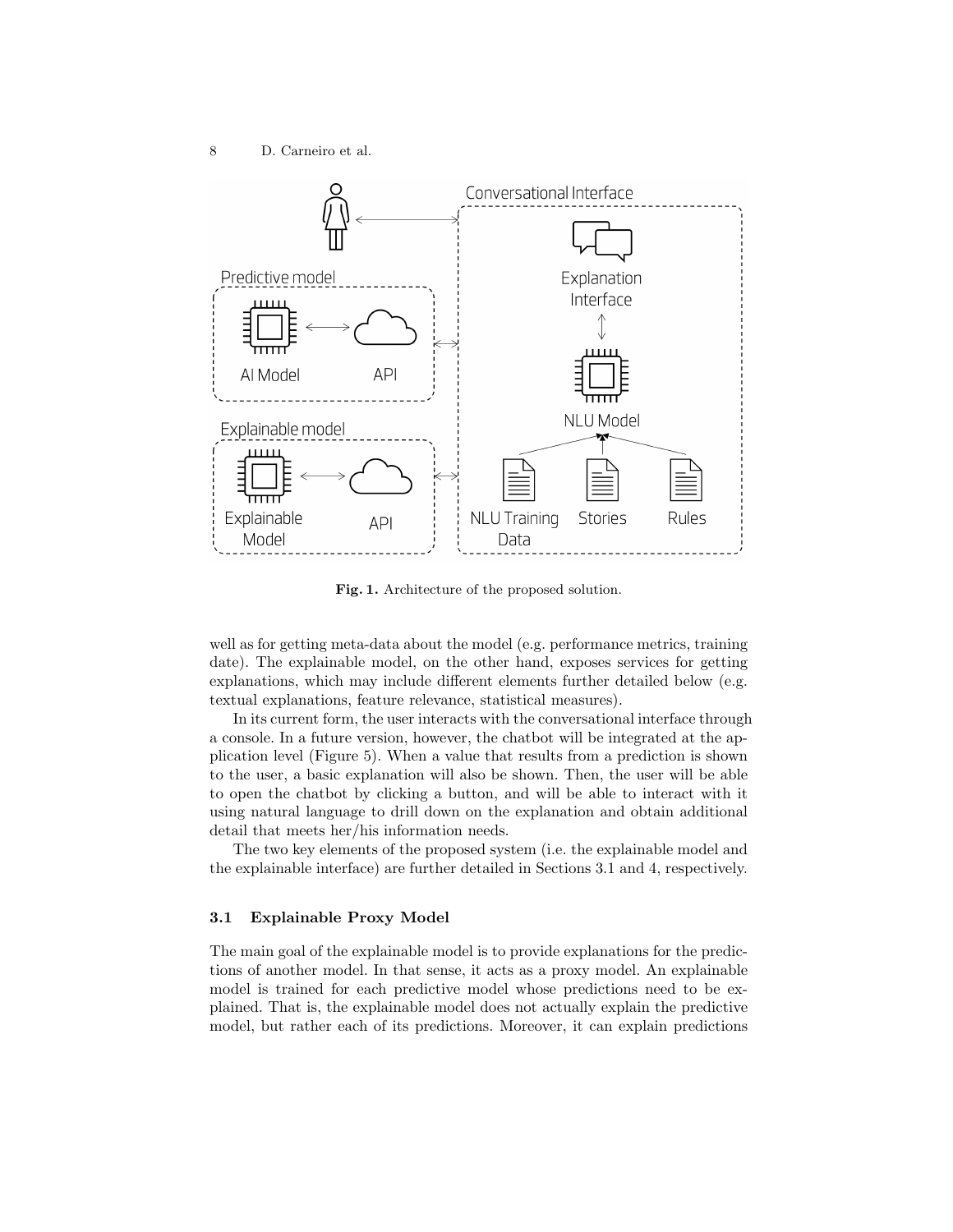8 D. Carneiro et al.



Fig. 1. Architecture of the proposed solution.

well as for getting meta-data about the model (e.g. performance metrics, training date). The explainable model, on the other hand, exposes services for getting explanations, which may include different elements further detailed below (e.g. textual explanations, feature relevance, statistical measures).

In its current form, the user interacts with the conversational interface through a console. In a future version, however, the chatbot will be integrated at the application level (Figure 5). When a value that results from a prediction is shown to the user, a basic explanation will also be shown. Then, the user will be able to open the chatbot by clicking a button, and will be able to interact with it using natural language to drill down on the explanation and obtain additional detail that meets her/his information needs.

The two key elements of the proposed system (i.e. the explainable model and the explainable interface) are further detailed in Sections 3.1 and 4, respectively.

### 3.1 Explainable Proxy Model

The main goal of the explainable model is to provide explanations for the predictions of another model. In that sense, it acts as a proxy model. An explainable model is trained for each predictive model whose predictions need to be explained. That is, the explainable model does not actually explain the predictive model, but rather each of its predictions. Moreover, it can explain predictions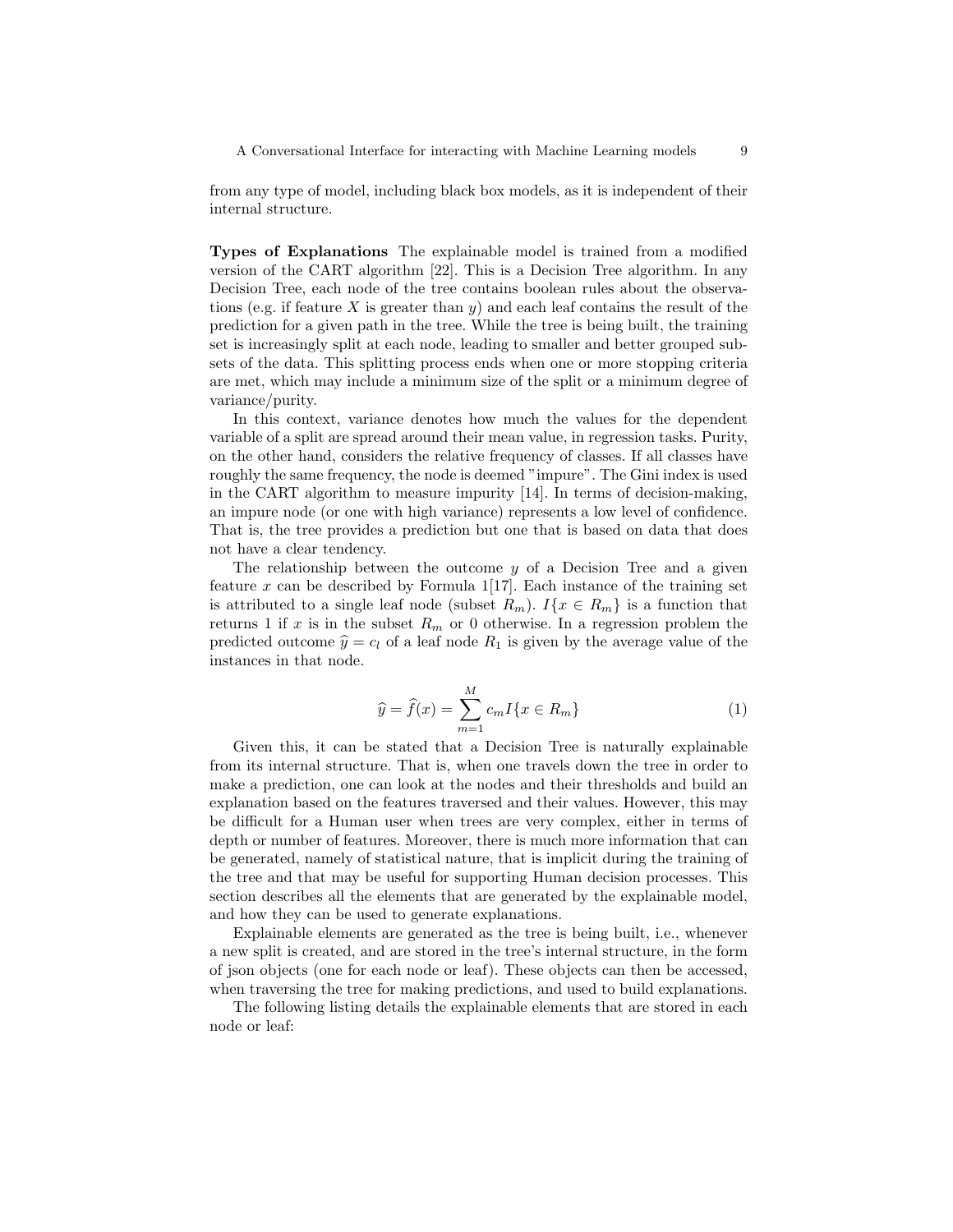A Conversational Interface for interacting with Machine Learning models 9

from any type of model, including black box models, as it is independent of their internal structure.

Types of Explanations The explainable model is trained from a modified version of the CART algorithm [22]. This is a Decision Tree algorithm. In any Decision Tree, each node of the tree contains boolean rules about the observations (e.g. if feature X is greater than  $y$ ) and each leaf contains the result of the prediction for a given path in the tree. While the tree is being built, the training set is increasingly split at each node, leading to smaller and better grouped subsets of the data. This splitting process ends when one or more stopping criteria are met, which may include a minimum size of the split or a minimum degree of variance/purity.

In this context, variance denotes how much the values for the dependent variable of a split are spread around their mean value, in regression tasks. Purity, on the other hand, considers the relative frequency of classes. If all classes have roughly the same frequency, the node is deemed "impure". The Gini index is used in the CART algorithm to measure impurity [14]. In terms of decision-making, an impure node (or one with high variance) represents a low level of confidence. That is, the tree provides a prediction but one that is based on data that does not have a clear tendency.

The relationship between the outcome  $y$  of a Decision Tree and a given feature x can be described by Formula  $1\vert 17\vert$ . Each instance of the training set is attributed to a single leaf node (subset  $R_m$ ).  $I\{x \in R_m\}$  is a function that returns 1 if  $x$  is in the subset  $R_m$  or 0 otherwise. In a regression problem the predicted outcome  $\hat{y} = c_l$  of a leaf node  $R_1$  is given by the average value of the instances in that node.

$$
\widehat{y} = \widehat{f}(x) = \sum_{m=1}^{M} c_m I\{x \in R_m\}
$$
\n(1)

Given this, it can be stated that a Decision Tree is naturally explainable from its internal structure. That is, when one travels down the tree in order to make a prediction, one can look at the nodes and their thresholds and build an explanation based on the features traversed and their values. However, this may be difficult for a Human user when trees are very complex, either in terms of depth or number of features. Moreover, there is much more information that can be generated, namely of statistical nature, that is implicit during the training of the tree and that may be useful for supporting Human decision processes. This section describes all the elements that are generated by the explainable model, and how they can be used to generate explanations.

Explainable elements are generated as the tree is being built, i.e., whenever a new split is created, and are stored in the tree's internal structure, in the form of json objects (one for each node or leaf). These objects can then be accessed, when traversing the tree for making predictions, and used to build explanations.

The following listing details the explainable elements that are stored in each node or leaf: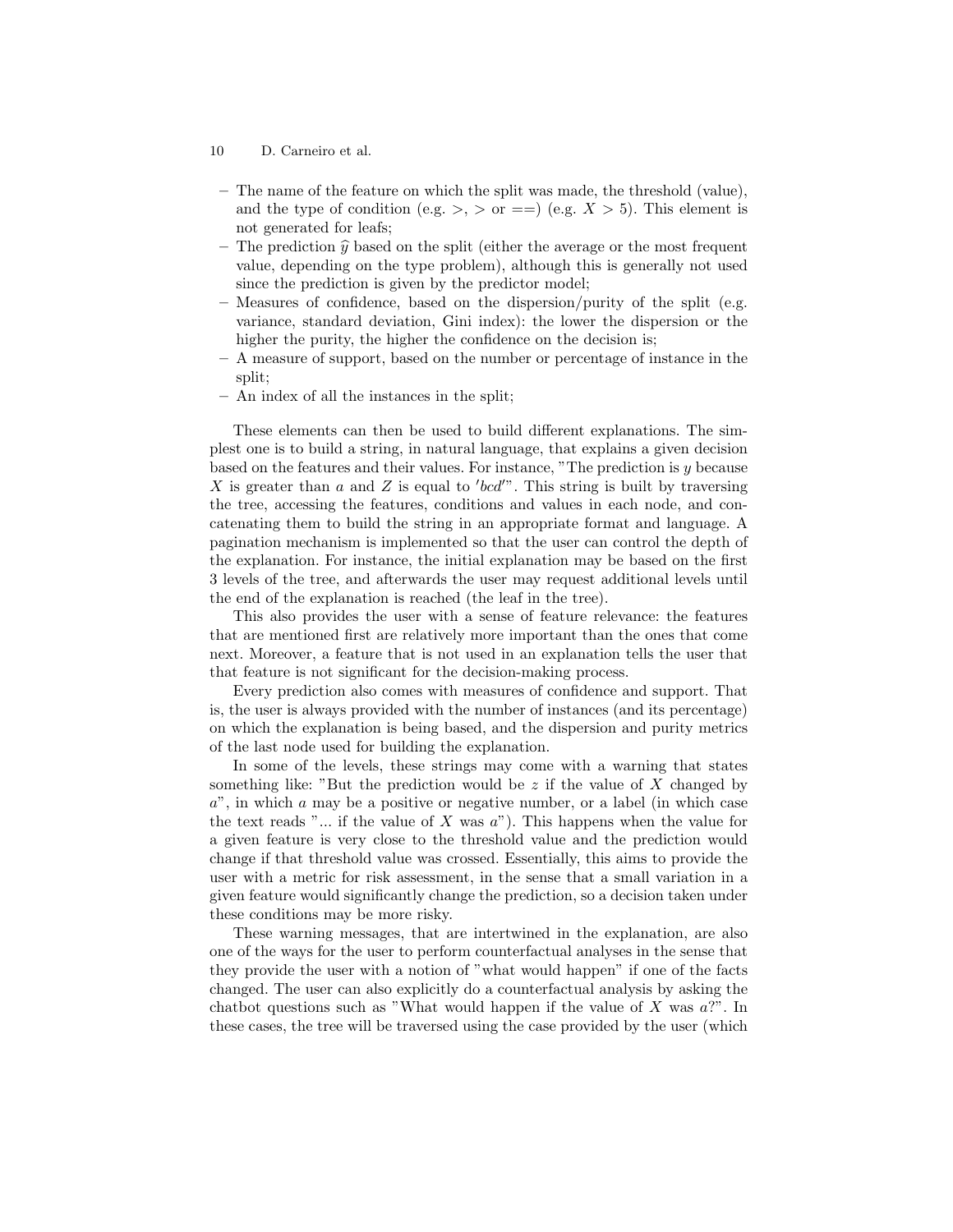- 10 D. Carneiro et al.
- The name of the feature on which the split was made, the threshold (value), and the type of condition (e.g.  $>$ ,  $>$  or ==) (e.g.  $X > 5$ ). This element is not generated for leafs;
- The prediction  $\hat{y}$  based on the split (either the average or the most frequent value, depending on the type problem), although this is generally not used since the prediction is given by the predictor model;
- Measures of confidence, based on the dispersion/purity of the split (e.g. variance, standard deviation, Gini index): the lower the dispersion or the higher the purity, the higher the confidence on the decision is;
- A measure of support, based on the number or percentage of instance in the split;
- An index of all the instances in the split;

These elements can then be used to build different explanations. The simplest one is to build a string, in natural language, that explains a given decision based on the features and their values. For instance, "The prediction is y because X is greater than  $a$  and  $Z$  is equal to 'bcd'". This string is built by traversing the tree, accessing the features, conditions and values in each node, and concatenating them to build the string in an appropriate format and language. A pagination mechanism is implemented so that the user can control the depth of the explanation. For instance, the initial explanation may be based on the first 3 levels of the tree, and afterwards the user may request additional levels until the end of the explanation is reached (the leaf in the tree).

This also provides the user with a sense of feature relevance: the features that are mentioned first are relatively more important than the ones that come next. Moreover, a feature that is not used in an explanation tells the user that that feature is not significant for the decision-making process.

Every prediction also comes with measures of confidence and support. That is, the user is always provided with the number of instances (and its percentage) on which the explanation is being based, and the dispersion and purity metrics of the last node used for building the explanation.

In some of the levels, these strings may come with a warning that states something like: "But the prediction would be z if the value of X changed by  $a$ ", in which a may be a positive or negative number, or a label (in which case the text reads " $\ldots$  if the value of X was  $a$ "). This happens when the value for a given feature is very close to the threshold value and the prediction would change if that threshold value was crossed. Essentially, this aims to provide the user with a metric for risk assessment, in the sense that a small variation in a given feature would significantly change the prediction, so a decision taken under these conditions may be more risky.

These warning messages, that are intertwined in the explanation, are also one of the ways for the user to perform counterfactual analyses in the sense that they provide the user with a notion of "what would happen" if one of the facts changed. The user can also explicitly do a counterfactual analysis by asking the chatbot questions such as "What would happen if the value of  $X$  was  $a$ ?". In these cases, the tree will be traversed using the case provided by the user (which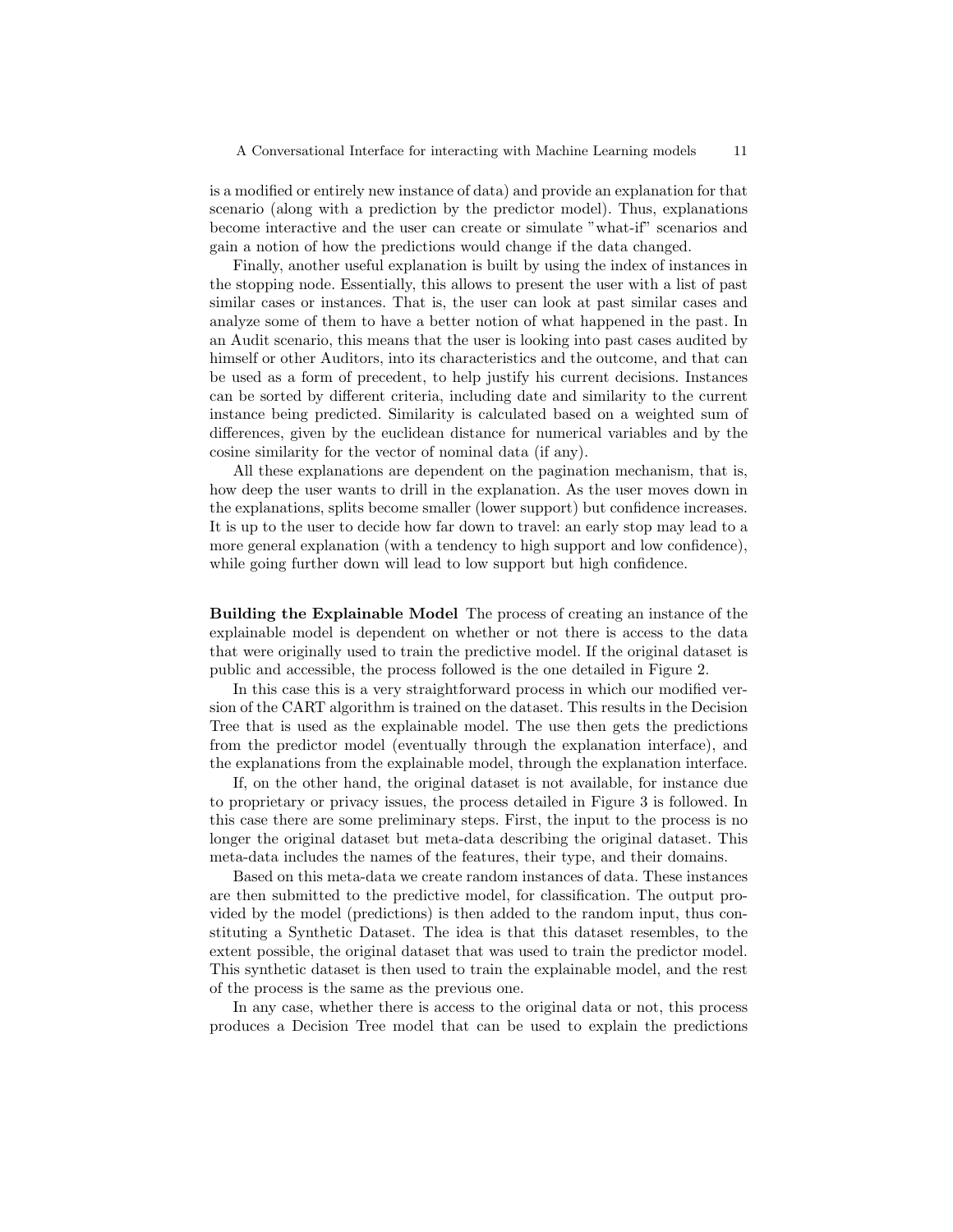is a modified or entirely new instance of data) and provide an explanation for that scenario (along with a prediction by the predictor model). Thus, explanations become interactive and the user can create or simulate "what-if" scenarios and gain a notion of how the predictions would change if the data changed.

Finally, another useful explanation is built by using the index of instances in the stopping node. Essentially, this allows to present the user with a list of past similar cases or instances. That is, the user can look at past similar cases and analyze some of them to have a better notion of what happened in the past. In an Audit scenario, this means that the user is looking into past cases audited by himself or other Auditors, into its characteristics and the outcome, and that can be used as a form of precedent, to help justify his current decisions. Instances can be sorted by different criteria, including date and similarity to the current instance being predicted. Similarity is calculated based on a weighted sum of differences, given by the euclidean distance for numerical variables and by the cosine similarity for the vector of nominal data (if any).

All these explanations are dependent on the pagination mechanism, that is, how deep the user wants to drill in the explanation. As the user moves down in the explanations, splits become smaller (lower support) but confidence increases. It is up to the user to decide how far down to travel: an early stop may lead to a more general explanation (with a tendency to high support and low confidence), while going further down will lead to low support but high confidence.

Building the Explainable Model The process of creating an instance of the explainable model is dependent on whether or not there is access to the data that were originally used to train the predictive model. If the original dataset is public and accessible, the process followed is the one detailed in Figure 2.

In this case this is a very straightforward process in which our modified version of the CART algorithm is trained on the dataset. This results in the Decision Tree that is used as the explainable model. The use then gets the predictions from the predictor model (eventually through the explanation interface), and the explanations from the explainable model, through the explanation interface.

If, on the other hand, the original dataset is not available, for instance due to proprietary or privacy issues, the process detailed in Figure 3 is followed. In this case there are some preliminary steps. First, the input to the process is no longer the original dataset but meta-data describing the original dataset. This meta-data includes the names of the features, their type, and their domains.

Based on this meta-data we create random instances of data. These instances are then submitted to the predictive model, for classification. The output provided by the model (predictions) is then added to the random input, thus constituting a Synthetic Dataset. The idea is that this dataset resembles, to the extent possible, the original dataset that was used to train the predictor model. This synthetic dataset is then used to train the explainable model, and the rest of the process is the same as the previous one.

In any case, whether there is access to the original data or not, this process produces a Decision Tree model that can be used to explain the predictions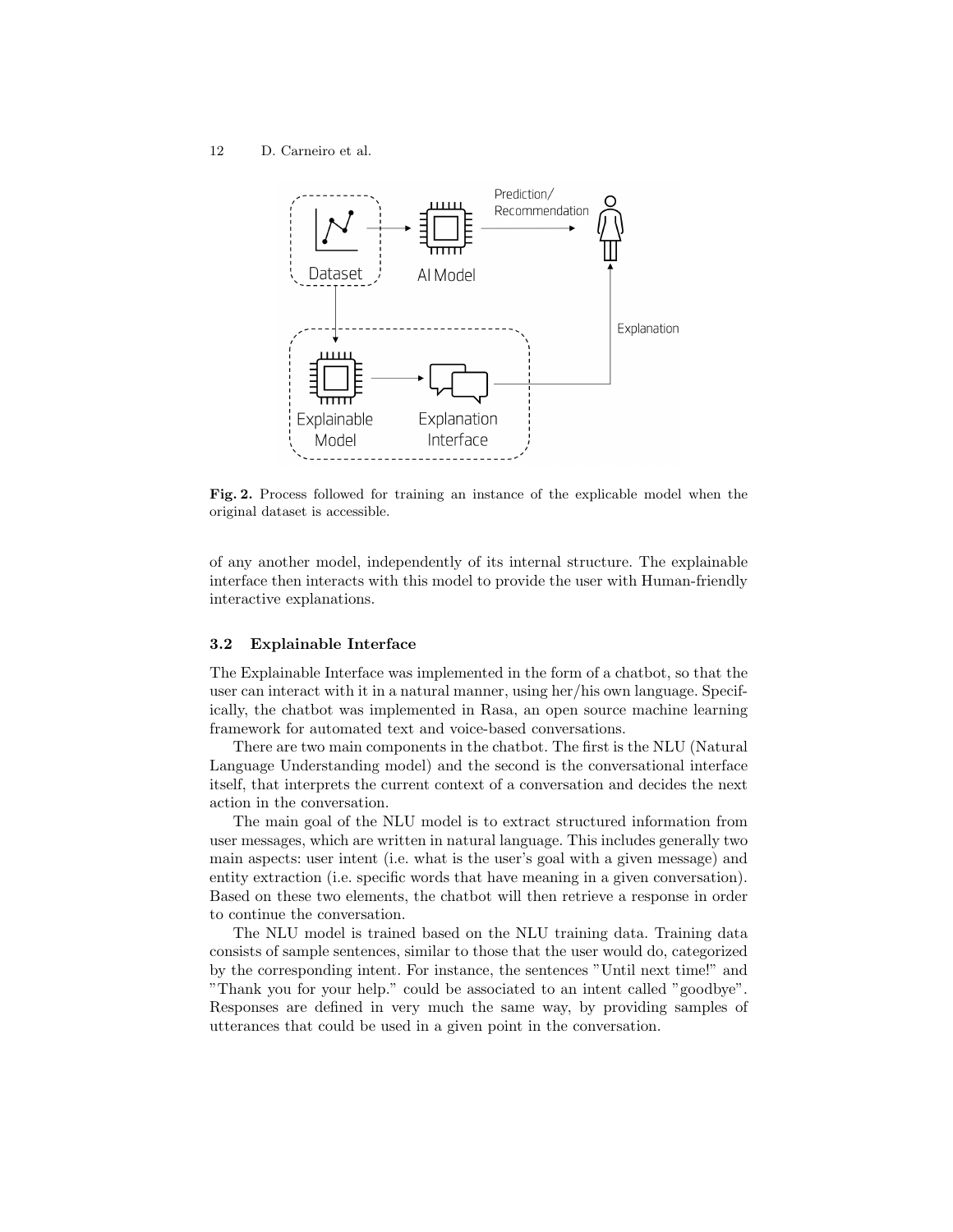12 D. Carneiro et al.



Fig. 2. Process followed for training an instance of the explicable model when the original dataset is accessible.

of any another model, independently of its internal structure. The explainable interface then interacts with this model to provide the user with Human-friendly interactive explanations.

#### 3.2 Explainable Interface

The Explainable Interface was implemented in the form of a chatbot, so that the user can interact with it in a natural manner, using her/his own language. Specifically, the chatbot was implemented in Rasa, an open source machine learning framework for automated text and voice-based conversations.

There are two main components in the chatbot. The first is the NLU (Natural Language Understanding model) and the second is the conversational interface itself, that interprets the current context of a conversation and decides the next action in the conversation.

The main goal of the NLU model is to extract structured information from user messages, which are written in natural language. This includes generally two main aspects: user intent (i.e. what is the user's goal with a given message) and entity extraction (i.e. specific words that have meaning in a given conversation). Based on these two elements, the chatbot will then retrieve a response in order to continue the conversation.

The NLU model is trained based on the NLU training data. Training data consists of sample sentences, similar to those that the user would do, categorized by the corresponding intent. For instance, the sentences "Until next time!" and "Thank you for your help." could be associated to an intent called "goodbye". Responses are defined in very much the same way, by providing samples of utterances that could be used in a given point in the conversation.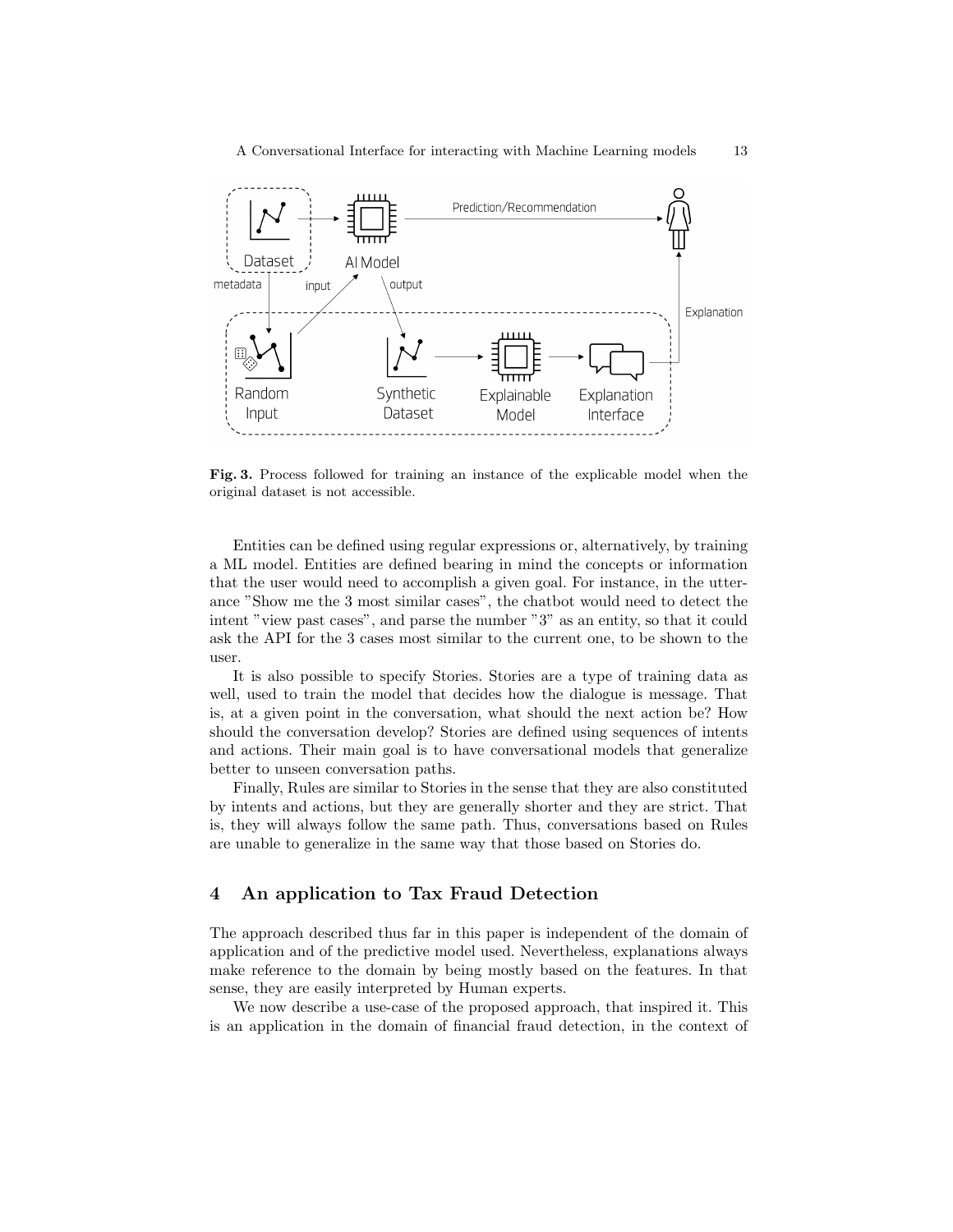

Fig. 3. Process followed for training an instance of the explicable model when the original dataset is not accessible.

Entities can be defined using regular expressions or, alternatively, by training a ML model. Entities are defined bearing in mind the concepts or information that the user would need to accomplish a given goal. For instance, in the utterance "Show me the 3 most similar cases", the chatbot would need to detect the intent "view past cases", and parse the number "3" as an entity, so that it could ask the API for the 3 cases most similar to the current one, to be shown to the user.

It is also possible to specify Stories. Stories are a type of training data as well, used to train the model that decides how the dialogue is message. That is, at a given point in the conversation, what should the next action be? How should the conversation develop? Stories are defined using sequences of intents and actions. Their main goal is to have conversational models that generalize better to unseen conversation paths.

Finally, Rules are similar to Stories in the sense that they are also constituted by intents and actions, but they are generally shorter and they are strict. That is, they will always follow the same path. Thus, conversations based on Rules are unable to generalize in the same way that those based on Stories do.

# 4 An application to Tax Fraud Detection

The approach described thus far in this paper is independent of the domain of application and of the predictive model used. Nevertheless, explanations always make reference to the domain by being mostly based on the features. In that sense, they are easily interpreted by Human experts.

We now describe a use-case of the proposed approach, that inspired it. This is an application in the domain of financial fraud detection, in the context of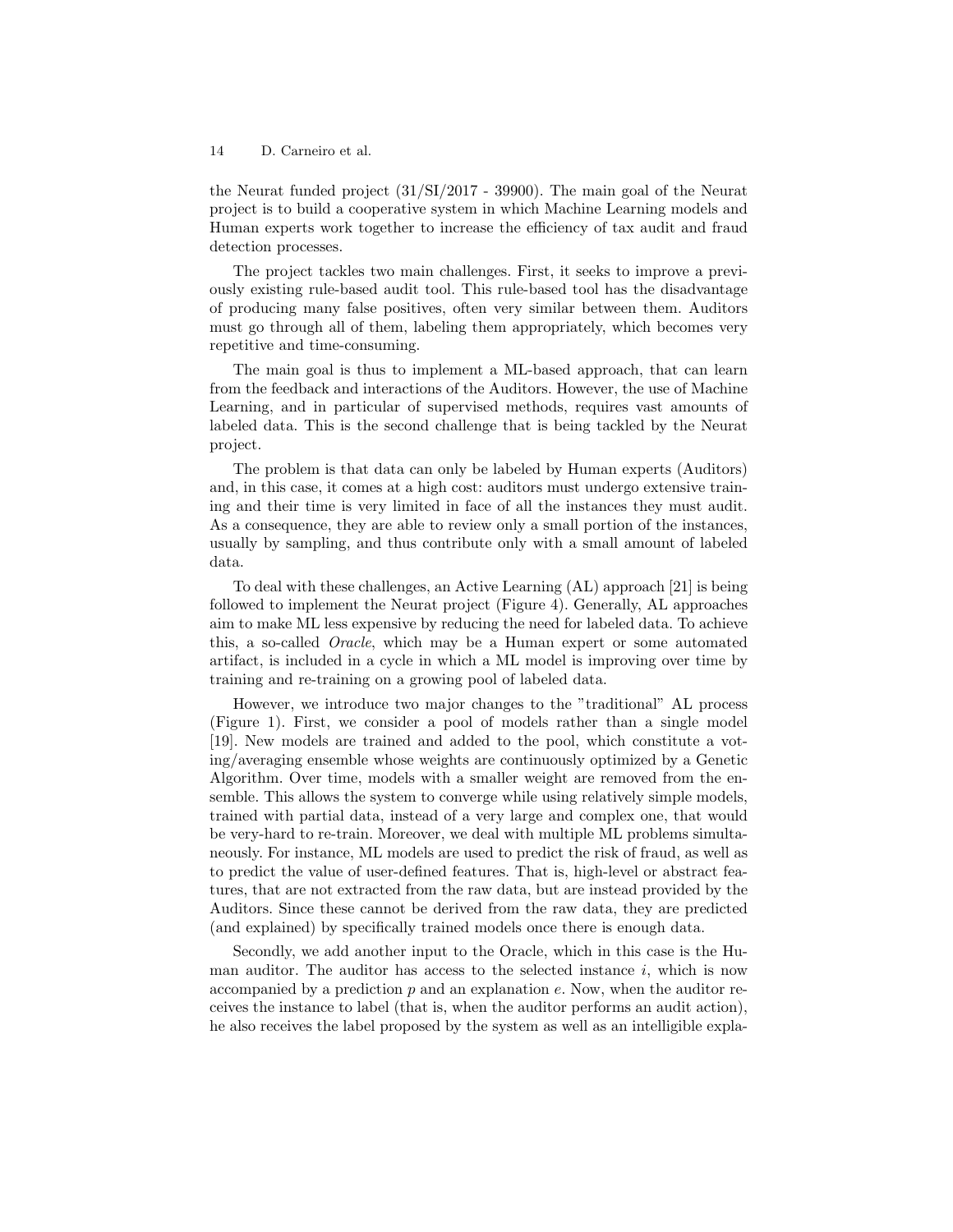the Neurat funded project (31/SI/2017 - 39900). The main goal of the Neurat project is to build a cooperative system in which Machine Learning models and Human experts work together to increase the efficiency of tax audit and fraud detection processes.

The project tackles two main challenges. First, it seeks to improve a previously existing rule-based audit tool. This rule-based tool has the disadvantage of producing many false positives, often very similar between them. Auditors must go through all of them, labeling them appropriately, which becomes very repetitive and time-consuming.

The main goal is thus to implement a ML-based approach, that can learn from the feedback and interactions of the Auditors. However, the use of Machine Learning, and in particular of supervised methods, requires vast amounts of labeled data. This is the second challenge that is being tackled by the Neurat project.

The problem is that data can only be labeled by Human experts (Auditors) and, in this case, it comes at a high cost: auditors must undergo extensive training and their time is very limited in face of all the instances they must audit. As a consequence, they are able to review only a small portion of the instances, usually by sampling, and thus contribute only with a small amount of labeled data.

To deal with these challenges, an Active Learning (AL) approach [21] is being followed to implement the Neurat project (Figure 4). Generally, AL approaches aim to make ML less expensive by reducing the need for labeled data. To achieve this, a so-called *Oracle*, which may be a Human expert or some automated artifact, is included in a cycle in which a ML model is improving over time by training and re-training on a growing pool of labeled data.

However, we introduce two major changes to the "traditional" AL process (Figure 1). First, we consider a pool of models rather than a single model [19]. New models are trained and added to the pool, which constitute a voting/averaging ensemble whose weights are continuously optimized by a Genetic Algorithm. Over time, models with a smaller weight are removed from the ensemble. This allows the system to converge while using relatively simple models, trained with partial data, instead of a very large and complex one, that would be very-hard to re-train. Moreover, we deal with multiple ML problems simultaneously. For instance, ML models are used to predict the risk of fraud, as well as to predict the value of user-defined features. That is, high-level or abstract features, that are not extracted from the raw data, but are instead provided by the Auditors. Since these cannot be derived from the raw data, they are predicted (and explained) by specifically trained models once there is enough data.

Secondly, we add another input to the Oracle, which in this case is the Human auditor. The auditor has access to the selected instance  $i$ , which is now accompanied by a prediction  $p$  and an explanation  $e$ . Now, when the auditor receives the instance to label (that is, when the auditor performs an audit action), he also receives the label proposed by the system as well as an intelligible expla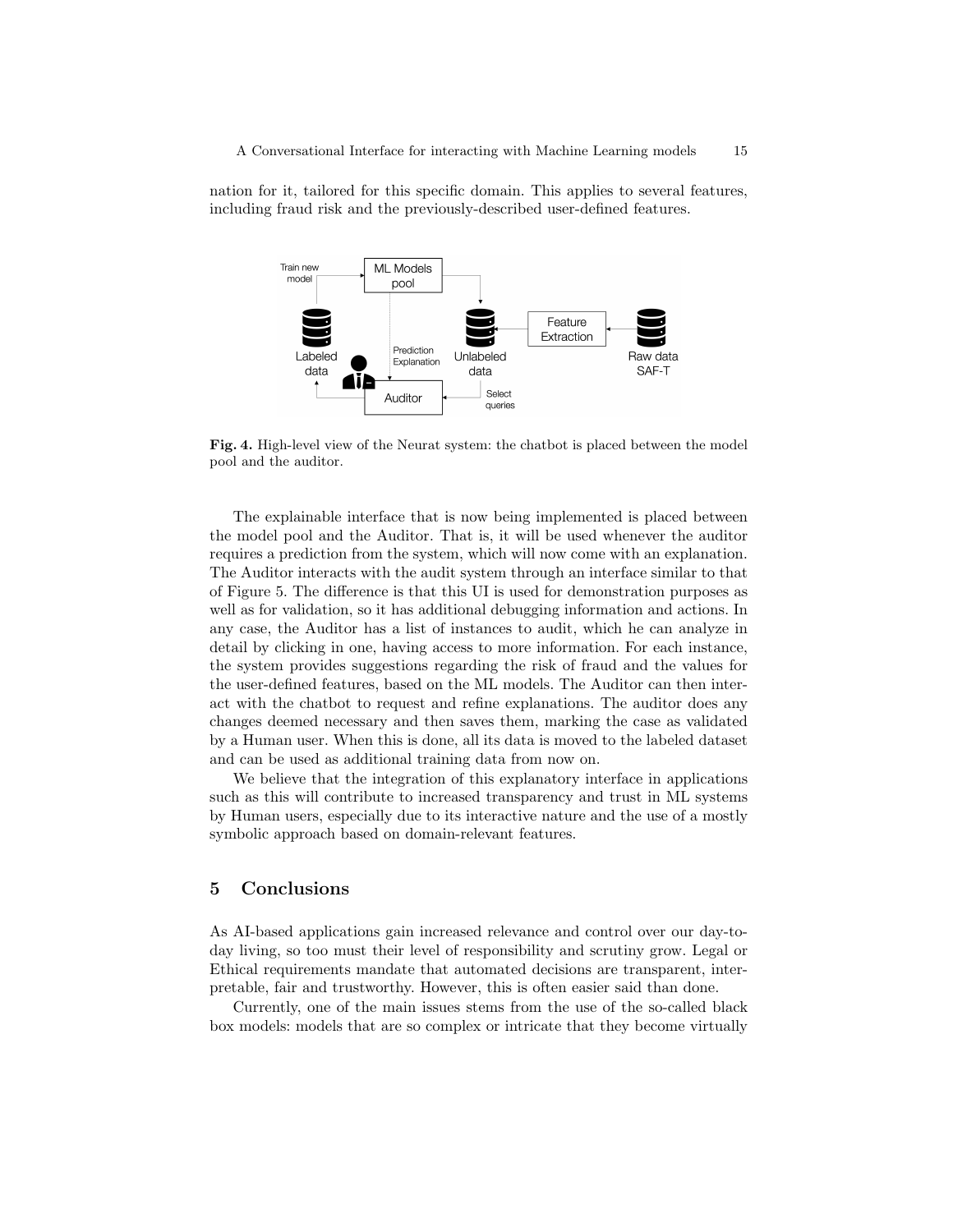nation for it, tailored for this specific domain. This applies to several features, including fraud risk and the previously-described user-defined features.



Fig. 4. High-level view of the Neurat system: the chatbot is placed between the model pool and the auditor.

The explainable interface that is now being implemented is placed between the model pool and the Auditor. That is, it will be used whenever the auditor requires a prediction from the system, which will now come with an explanation. The Auditor interacts with the audit system through an interface similar to that of Figure 5. The difference is that this UI is used for demonstration purposes as well as for validation, so it has additional debugging information and actions. In any case, the Auditor has a list of instances to audit, which he can analyze in detail by clicking in one, having access to more information. For each instance, the system provides suggestions regarding the risk of fraud and the values for the user-defined features, based on the ML models. The Auditor can then interact with the chatbot to request and refine explanations. The auditor does any changes deemed necessary and then saves them, marking the case as validated by a Human user. When this is done, all its data is moved to the labeled dataset and can be used as additional training data from now on.

We believe that the integration of this explanatory interface in applications such as this will contribute to increased transparency and trust in ML systems by Human users, especially due to its interactive nature and the use of a mostly symbolic approach based on domain-relevant features.

# 5 Conclusions

As AI-based applications gain increased relevance and control over our day-today living, so too must their level of responsibility and scrutiny grow. Legal or Ethical requirements mandate that automated decisions are transparent, interpretable, fair and trustworthy. However, this is often easier said than done.

Currently, one of the main issues stems from the use of the so-called black box models: models that are so complex or intricate that they become virtually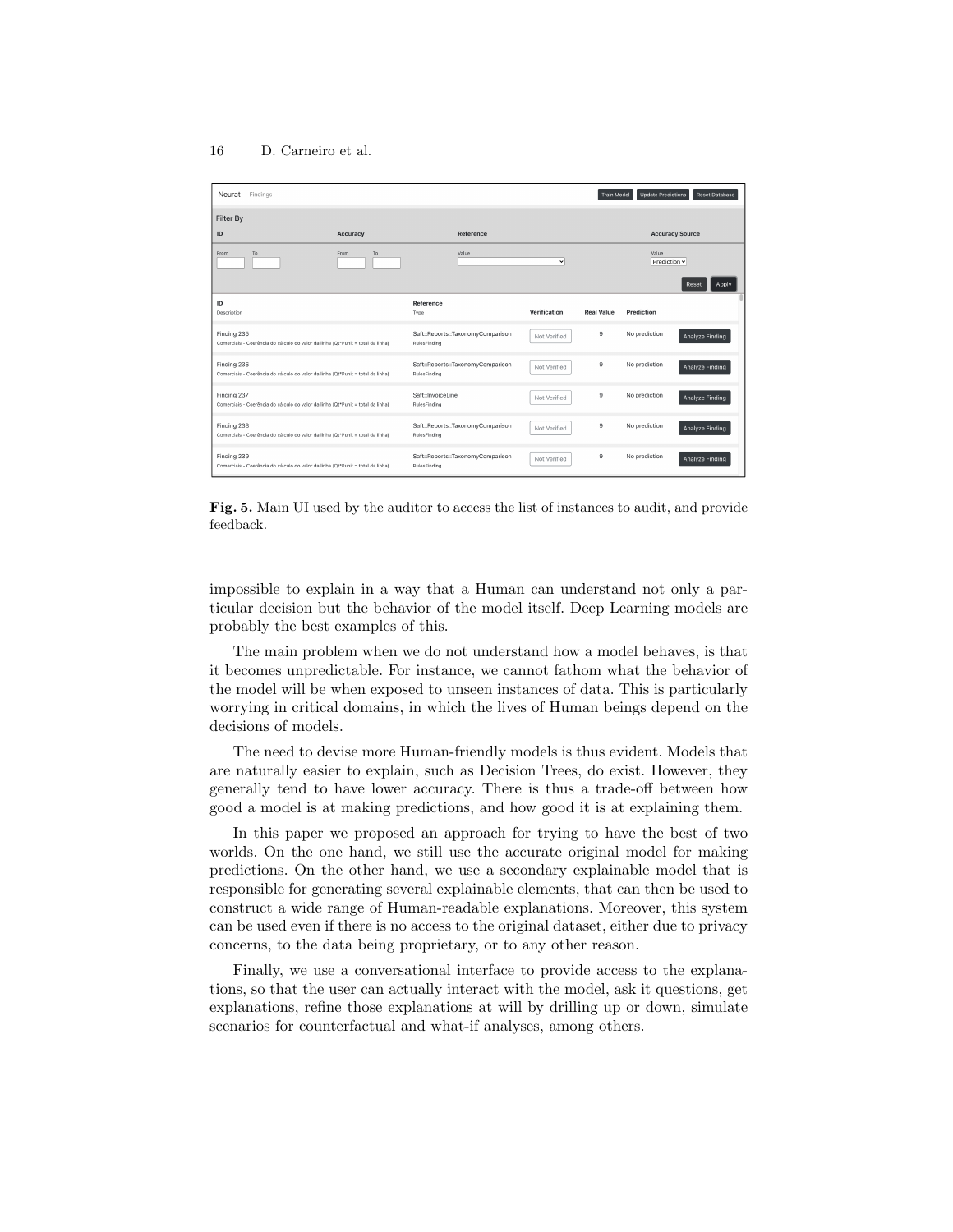| Neurat<br>Findings                                                                             |            |                                                   |              | <b>Train Model</b>    | <b>Update Predictions</b> | <b>Reset Database</b> |  |
|------------------------------------------------------------------------------------------------|------------|---------------------------------------------------|--------------|-----------------------|---------------------------|-----------------------|--|
| Filter By                                                                                      |            |                                                   |              |                       |                           |                       |  |
| ID                                                                                             | Accuracy   |                                                   | Reference    |                       | <b>Accuracy Source</b>    |                       |  |
| From<br>To                                                                                     | From<br>To | Value<br>$\checkmark$                             |              | Value<br>Prediction ~ |                           |                       |  |
|                                                                                                |            |                                                   |              |                       |                           | Apply<br>Reset        |  |
| ID<br>Description                                                                              |            | Reference<br>Type                                 | Verification | <b>Real Value</b>     | Prediction                |                       |  |
| Finding 235<br>Comerciais - Coerência do cálculo do valor da linha (Qt*Punit = total da linha) |            | Saft::Reports::TaxonomyComparison<br>RulesFinding | Not Verified | 9                     | No prediction             | Analyze Finding       |  |
| Finding 236<br>Comerciais - Coerência do cálculo do valor da linha (Qt*Punit = total da linha) |            | Saft::Reports::TaxonomyComparison<br>RulesFinding | Not Verified | 9                     | No prediction             | Analyze Finding       |  |
| Finding 237<br>Comerciais - Coerência do cálculo do valor da linha (Qt*Punit = total da linha) |            | Saft: Invoicel ine<br>RulesFinding                | Not Verified | $\mathbf{9}$          | No prediction             | Analyze Finding       |  |
| Finding 238<br>Comerciais - Coerência do cálculo do valor da linha (Qt*Punit = total da linha) |            | Saft::Reports::TaxonomyComparison<br>RulesFinding | Not Verified | 9                     | No prediction             | Analyze Finding       |  |
| Finding 239<br>Comerciais - Coerência do cálculo do valor da linha (Qt*Punit = total da linha) |            | Saft::Reports::TaxonomyComparison<br>RulesFinding | Not Verified | 9                     | No prediction             | Analyze Finding       |  |

Fig. 5. Main UI used by the auditor to access the list of instances to audit, and provide feedback.

impossible to explain in a way that a Human can understand not only a particular decision but the behavior of the model itself. Deep Learning models are probably the best examples of this.

The main problem when we do not understand how a model behaves, is that it becomes unpredictable. For instance, we cannot fathom what the behavior of the model will be when exposed to unseen instances of data. This is particularly worrying in critical domains, in which the lives of Human beings depend on the decisions of models.

The need to devise more Human-friendly models is thus evident. Models that are naturally easier to explain, such as Decision Trees, do exist. However, they generally tend to have lower accuracy. There is thus a trade-off between how good a model is at making predictions, and how good it is at explaining them.

In this paper we proposed an approach for trying to have the best of two worlds. On the one hand, we still use the accurate original model for making predictions. On the other hand, we use a secondary explainable model that is responsible for generating several explainable elements, that can then be used to construct a wide range of Human-readable explanations. Moreover, this system can be used even if there is no access to the original dataset, either due to privacy concerns, to the data being proprietary, or to any other reason.

Finally, we use a conversational interface to provide access to the explanations, so that the user can actually interact with the model, ask it questions, get explanations, refine those explanations at will by drilling up or down, simulate scenarios for counterfactual and what-if analyses, among others.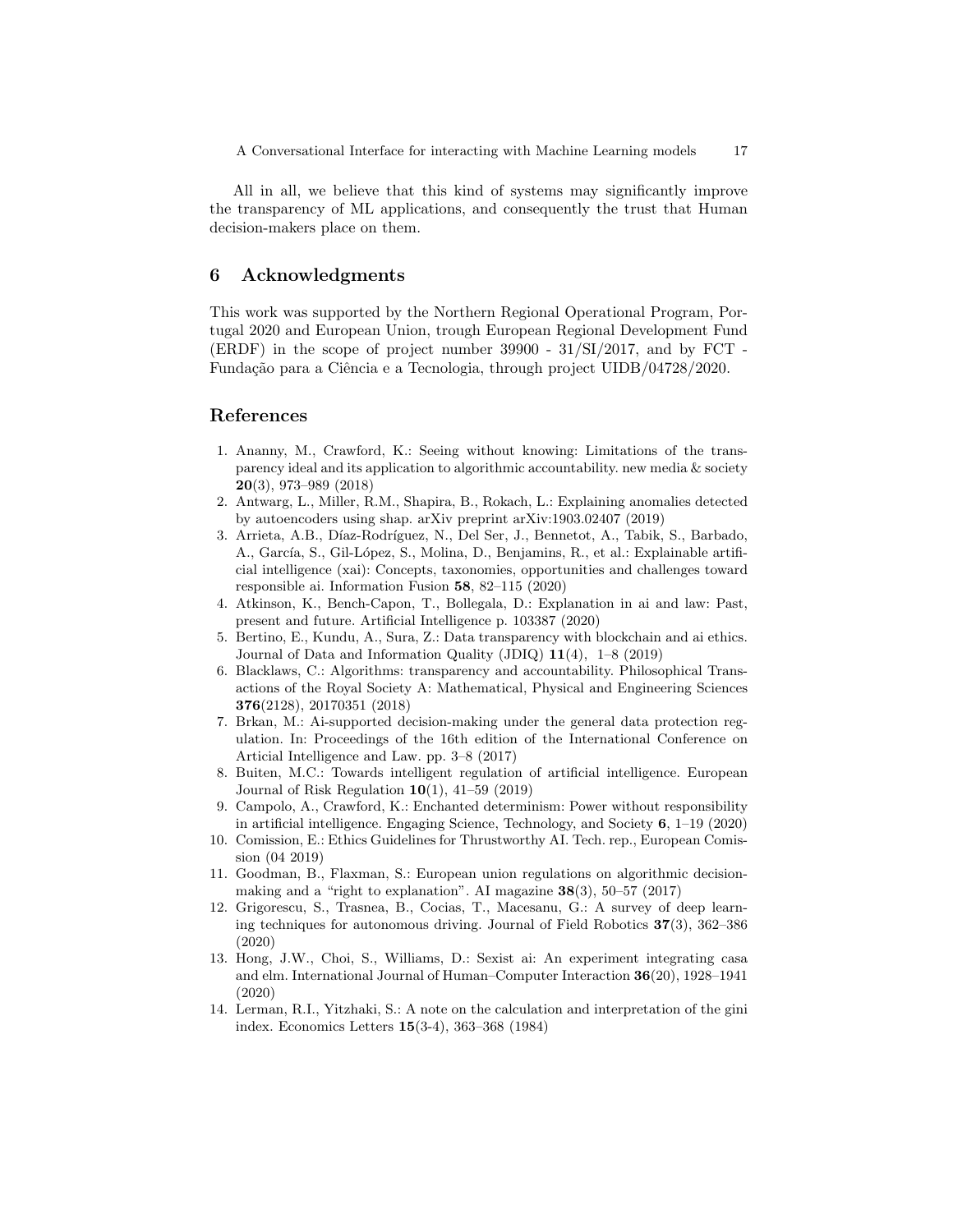All in all, we believe that this kind of systems may significantly improve the transparency of ML applications, and consequently the trust that Human decision-makers place on them.

# 6 Acknowledgments

This work was supported by the Northern Regional Operational Program, Portugal 2020 and European Union, trough European Regional Development Fund (ERDF) in the scope of project number 39900 - 31/SI/2017, and by FCT - Fundação para a Ciência e a Tecnologia, through project UIDB/04728/2020.

## References

- 1. Ananny, M., Crawford, K.: Seeing without knowing: Limitations of the transparency ideal and its application to algorithmic accountability. new media & society 20(3), 973–989 (2018)
- 2. Antwarg, L., Miller, R.M., Shapira, B., Rokach, L.: Explaining anomalies detected by autoencoders using shap. arXiv preprint arXiv:1903.02407 (2019)
- 3. Arrieta, A.B., Díaz-Rodríguez, N., Del Ser, J., Bennetot, A., Tabik, S., Barbado, A., García, S., Gil-López, S., Molina, D., Benjamins, R., et al.: Explainable artificial intelligence (xai): Concepts, taxonomies, opportunities and challenges toward responsible ai. Information Fusion 58, 82–115 (2020)
- 4. Atkinson, K., Bench-Capon, T., Bollegala, D.: Explanation in ai and law: Past, present and future. Artificial Intelligence p. 103387 (2020)
- 5. Bertino, E., Kundu, A., Sura, Z.: Data transparency with blockchain and ai ethics. Journal of Data and Information Quality (JDIQ) 11(4), 1–8 (2019)
- 6. Blacklaws, C.: Algorithms: transparency and accountability. Philosophical Transactions of the Royal Society A: Mathematical, Physical and Engineering Sciences 376(2128), 20170351 (2018)
- 7. Brkan, M.: Ai-supported decision-making under the general data protection regulation. In: Proceedings of the 16th edition of the International Conference on Articial Intelligence and Law. pp. 3–8 (2017)
- 8. Buiten, M.C.: Towards intelligent regulation of artificial intelligence. European Journal of Risk Regulation  $10(1)$ ,  $41-59$  (2019)
- 9. Campolo, A., Crawford, K.: Enchanted determinism: Power without responsibility in artificial intelligence. Engaging Science, Technology, and Society 6, 1–19 (2020)
- 10. Comission, E.: Ethics Guidelines for Thrustworthy AI. Tech. rep., European Comission (04 2019)
- 11. Goodman, B., Flaxman, S.: European union regulations on algorithmic decisionmaking and a "right to explanation". AI magazine  $38(3)$ , 50–57 (2017)
- 12. Grigorescu, S., Trasnea, B., Cocias, T., Macesanu, G.: A survey of deep learning techniques for autonomous driving. Journal of Field Robotics 37(3), 362–386 (2020)
- 13. Hong, J.W., Choi, S., Williams, D.: Sexist ai: An experiment integrating casa and elm. International Journal of Human–Computer Interaction 36(20), 1928–1941 (2020)
- 14. Lerman, R.I., Yitzhaki, S.: A note on the calculation and interpretation of the gini index. Economics Letters 15(3-4), 363–368 (1984)